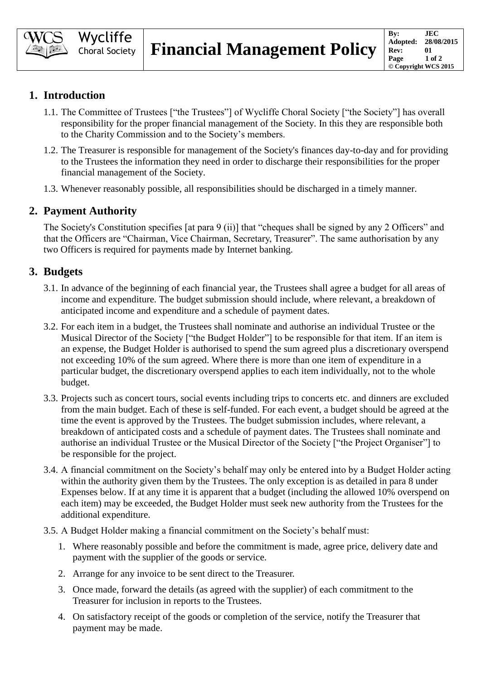

# **1. Introduction**

- 1.1. The Committee of Trustees ["the Trustees"] of Wycliffe Choral Society ["the Society"] has overall responsibility for the proper financial management of the Society. In this they are responsible both to the Charity Commission and to the Society's members.
- 1.2. The Treasurer is responsible for management of the Society's finances day-to-day and for providing to the Trustees the information they need in order to discharge their responsibilities for the proper financial management of the Society.
- 1.3. Whenever reasonably possible, all responsibilities should be discharged in a timely manner.

# **2. Payment Authority**

The Society's Constitution specifies [at para 9 (ii)] that "cheques shall be signed by any 2 Officers" and that the Officers are "Chairman, Vice Chairman, Secretary, Treasurer". The same authorisation by any two Officers is required for payments made by Internet banking.

# **3. Budgets**

- 3.1. In advance of the beginning of each financial year, the Trustees shall agree a budget for all areas of income and expenditure. The budget submission should include, where relevant, a breakdown of anticipated income and expenditure and a schedule of payment dates.
- 3.2. For each item in a budget, the Trustees shall nominate and authorise an individual Trustee or the Musical Director of the Society ["the Budget Holder"] to be responsible for that item. If an item is an expense, the Budget Holder is authorised to spend the sum agreed plus a discretionary overspend not exceeding 10% of the sum agreed. Where there is more than one item of expenditure in a particular budget, the discretionary overspend applies to each item individually, not to the whole budget.
- 3.3. Projects such as concert tours, social events including trips to concerts etc. and dinners are excluded from the main budget. Each of these is self-funded. For each event, a budget should be agreed at the time the event is approved by the Trustees. The budget submission includes, where relevant, a breakdown of anticipated costs and a schedule of payment dates. The Trustees shall nominate and authorise an individual Trustee or the Musical Director of the Society ["the Project Organiser"] to be responsible for the project.
- 3.4. A financial commitment on the Society's behalf may only be entered into by a Budget Holder acting within the authority given them by the Trustees. The only exception is as detailed in para 8 under Expenses below. If at any time it is apparent that a budget (including the allowed 10% overspend on each item) may be exceeded, the Budget Holder must seek new authority from the Trustees for the additional expenditure.
- 3.5. A Budget Holder making a financial commitment on the Society's behalf must:
	- 1. Where reasonably possible and before the commitment is made, agree price, delivery date and payment with the supplier of the goods or service.
	- 2. Arrange for any invoice to be sent direct to the Treasurer.
	- 3. Once made, forward the details (as agreed with the supplier) of each commitment to the Treasurer for inclusion in reports to the Trustees.
	- 4. On satisfactory receipt of the goods or completion of the service, notify the Treasurer that payment may be made.